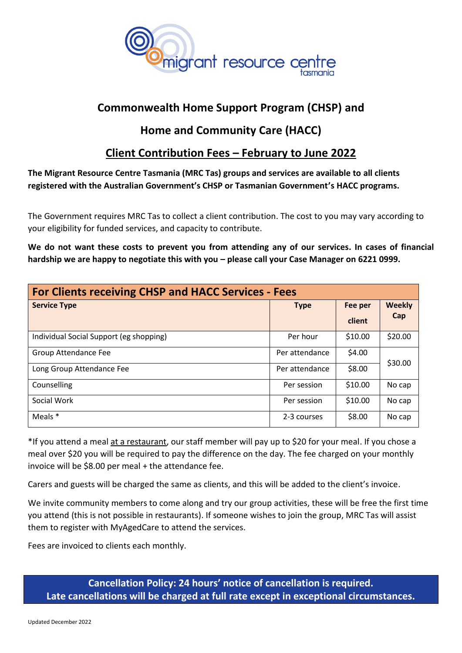

# **Commonwealth Home Support Program (CHSP) and**

# **Home and Community Care (HACC)**

# **Client Contribution Fees – February to June 2022**

**The Migrant Resource Centre Tasmania (MRC Tas) groups and services are available to all clients registered with the Australian Government's CHSP or Tasmanian Government's HACC programs.** 

The Government requires MRC Tas to collect a client contribution. The cost to you may vary according to your eligibility for funded services, and capacity to contribute.

**We do not want these costs to prevent you from attending any of our services. In cases of financial hardship we are happy to negotiate this with you – please call your Case Manager on 6221 0999.**

| <b>For Clients receiving CHSP and HACC Services - Fees</b> |                |         |                      |
|------------------------------------------------------------|----------------|---------|----------------------|
| <b>Service Type</b>                                        | <b>Type</b>    | Fee per | <b>Weekly</b><br>Cap |
|                                                            |                | client  |                      |
| Individual Social Support (eg shopping)                    | Per hour       | \$10.00 | \$20.00              |
| Group Attendance Fee                                       | Per attendance | \$4.00  | \$30.00              |
| Long Group Attendance Fee                                  | Per attendance | \$8.00  |                      |
| Counselling                                                | Per session    | \$10.00 | No cap               |
| Social Work                                                | Per session    | \$10.00 | No cap               |
| Meals *                                                    | 2-3 courses    | \$8.00  | No cap               |

\*If you attend a meal at a restaurant, our staff member will pay up to \$20 for your meal. If you chose a meal over \$20 you will be required to pay the difference on the day. The fee charged on your monthly invoice will be \$8.00 per meal + the attendance fee.

Carers and guests will be charged the same as clients, and this will be added to the client's invoice.

We invite community members to come along and try our group activities, these will be free the first time you attend (this is not possible in restaurants). If someone wishes to join the group, MRC Tas will assist them to register with MyAgedCare to attend the services.

Fees are invoiced to clients each monthly.

**Cancellation Policy: 24 hours' notice of cancellation is required. Late cancellations will be charged at full rate except in exceptional circumstances.**